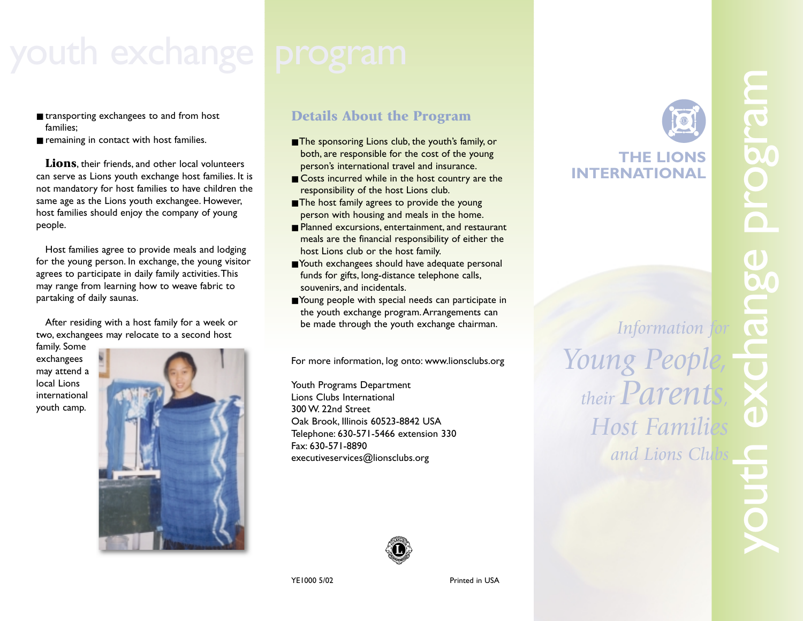- transporting exchangees to and from host families;
- remaining in contact with host families.

**Lions**, their friends, and other local volunteers can serve as Lions youth exchange host families. It is not mandatory for host families to have children the same age as the Lions youth exchangee. However, host families should enjoy the company of young people.

Host families agree to provide meals and lodging for the young person. In exchange, the young visitor agrees to participate in daily family activities.This may range from learning how to weave fabric to partaking of daily saunas.

After residing with a host family for a week or two, exchangees may relocate to a second host

family. Some exchangees may attend a local Lions international youth camp.



# **Details About the Program**

- The sponsoring Lions club, the youth's family, or both, are responsible for the cost of the young person's international travel and insurance.
- Costs incurred while in the host country are the responsibility of the host Lions club.
- The host family agrees to provide the young person with housing and meals in the home.
- Planned excursions, entertainment, and restaurant meals are the financial responsibility of either the host Lions club or the host family.
- Youth exchangees should have adequate personal funds for gifts, long-distance telephone calls, souvenirs, and incidentals.
- Young people with special needs can participate in the youth exchange program.Arrangements can be made through the youth exchange chairman.

For more information, log onto: www.lionsclubs.org

Youth Programs Department Lions Clubs International 300 W. 22nd Street Oak Brook, Illinois 60523-8842 USA Telephone: 630-571-5466 extension 330 Fax: 630-571-8890 executiveservices@lionsclubs.org